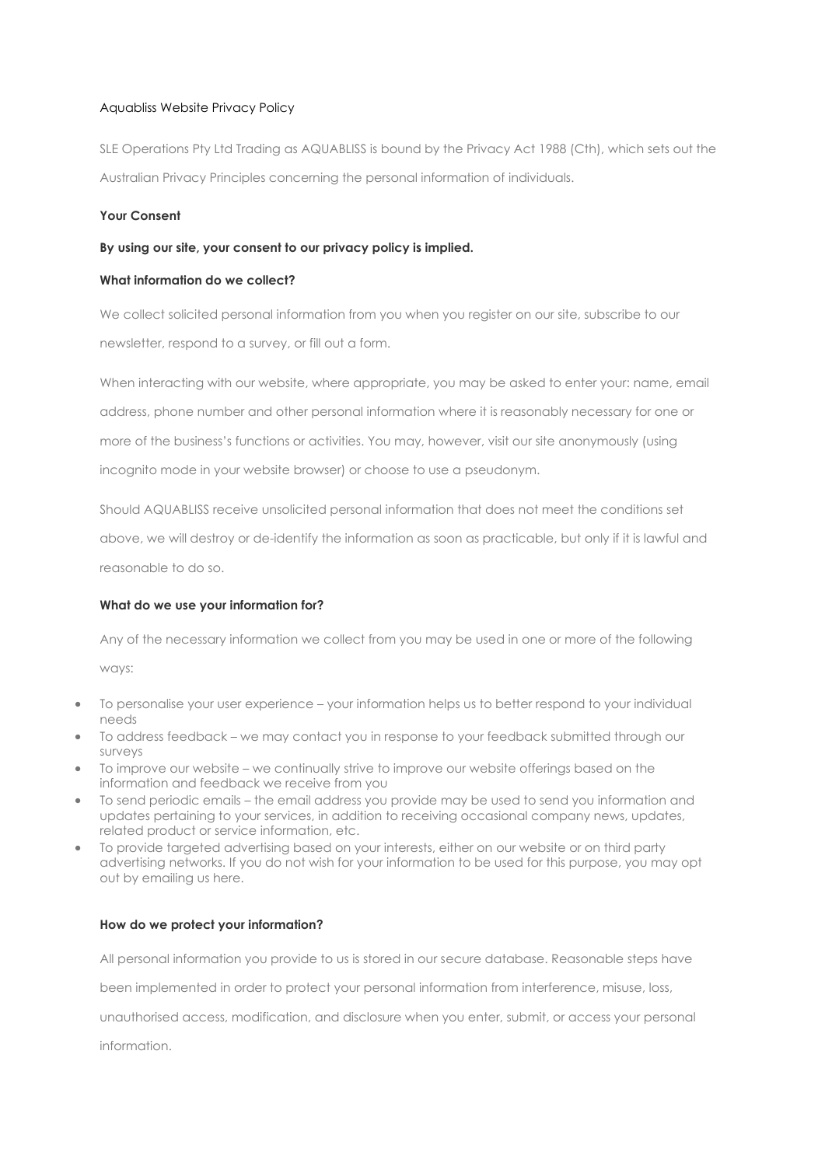# Aquabliss Website Privacy Policy

SLE Operations Pty Ltd Trading as AQUABLISS is bound by the Privacy Act 1988 (Cth), which sets out the Australian Privacy Principles concerning the personal information of individuals.

## **Your Consent**

### **By using our site, your consent to our privacy policy is implied.**

### **What information do we collect?**

We collect solicited personal information from you when you register on our site, subscribe to our newsletter, respond to a survey, or fill out a form.

When interacting with our website, where appropriate, you may be asked to enter your: name, email address, phone number and other personal information where it is reasonably necessary for one or more of the business's functions or activities. You may, however, visit our site anonymously (using incognito mode in your website browser) or choose to use a pseudonym.

Should AQUABLISS receive unsolicited personal information that does not meet the conditions set above, we will destroy or de-identify the information as soon as practicable, but only if it is lawful and reasonable to do so.

## **What do we use your information for?**

Any of the necessary information we collect from you may be used in one or more of the following ways:

- To personalise your user experience your information helps us to better respond to your individual needs
- To address feedback we may contact you in response to your feedback submitted through our surveys
- To improve our website we continually strive to improve our website offerings based on the information and feedback we receive from you
- To send periodic emails the email address you provide may be used to send you information and updates pertaining to your services, in addition to receiving occasional company news, updates, related product or service information, etc.
- To provide targeted advertising based on your interests, either on our website or on third party advertising networks. If you do not wish for your information to be used for this purpose, you may opt out by emailing us here.

### **How do we protect your information?**

All personal information you provide to us is stored in our secure database. Reasonable steps have

been implemented in order to protect your personal information from interference, misuse, loss,

unauthorised access, modification, and disclosure when you enter, submit, or access your personal

information.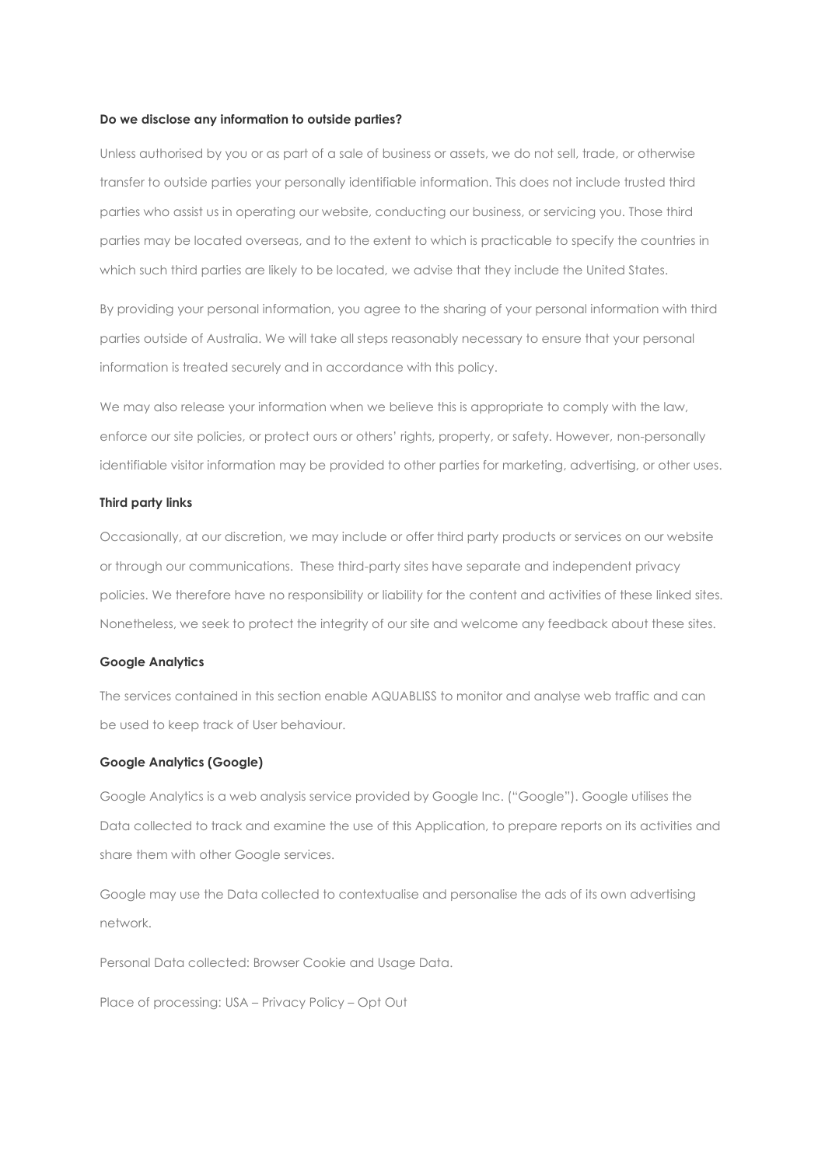#### **Do we disclose any information to outside parties?**

Unless authorised by you or as part of a sale of business or assets, we do not sell, trade, or otherwise transfer to outside parties your personally identifiable information. This does not include trusted third parties who assist us in operating our website, conducting our business, or servicing you. Those third parties may be located overseas, and to the extent to which is practicable to specify the countries in which such third parties are likely to be located, we advise that they include the United States.

By providing your personal information, you agree to the sharing of your personal information with third parties outside of Australia. We will take all steps reasonably necessary to ensure that your personal information is treated securely and in accordance with this policy.

We may also release your information when we believe this is appropriate to comply with the law, enforce our site policies, or protect ours or others' rights, property, or safety. However, non-personally identifiable visitor information may be provided to other parties for marketing, advertising, or other uses.

#### **Third party links**

Occasionally, at our discretion, we may include or offer third party products or services on our website or through our communications. These third-party sites have separate and independent privacy policies. We therefore have no responsibility or liability for the content and activities of these linked sites. Nonetheless, we seek to protect the integrity of our site and welcome any feedback about these sites.

### **Google Analytics**

The services contained in this section enable AQUABLISS to monitor and analyse web traffic and can be used to keep track of User behaviour.

### **Google Analytics (Google)**

Google Analytics is a web analysis service provided by Google Inc. ("Google"). Google utilises the Data collected to track and examine the use of this Application, to prepare reports on its activities and share them with other Google services.

Google may use the Data collected to contextualise and personalise the ads of its own advertising network.

Personal Data collected: Browser Cookie and Usage Data.

Place of processing: USA – Privacy Policy – Opt Out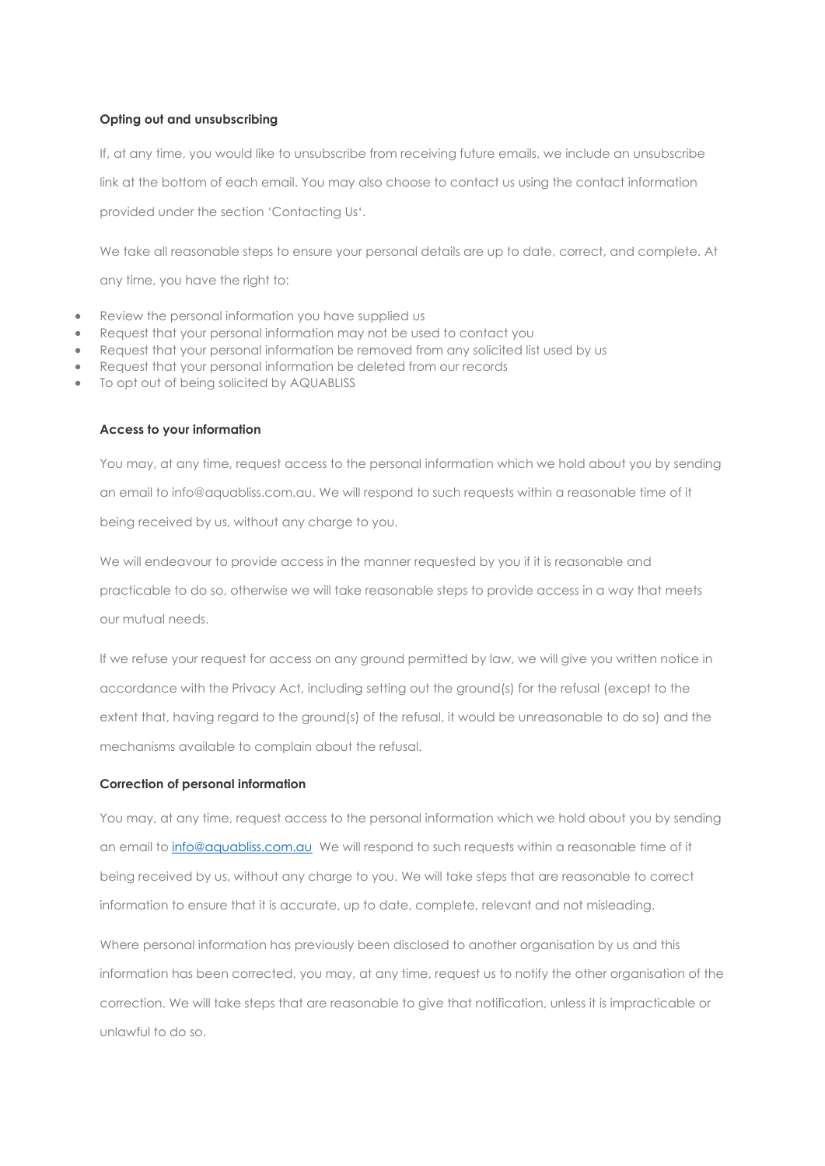## **Opting out and unsubscribing**

If, at any time, you would like to unsubscribe from receiving future emails, we include an unsubscribe link at the bottom of each email. You may also choose to contact us using the contact information provided under the section 'Contacting Us'.

We take all reasonable steps to ensure your personal details are up to date, correct, and complete. At any time, you have the right to:

- Review the personal information you have supplied us
- Request that your personal information may not be used to contact you
- Request that your personal information be removed from any solicited list used by us
- Request that your personal information be deleted from our records
- To opt out of being solicited by AQUABLISS

### **Access to your information**

You may, at any time, request access to the personal information which we hold about you by sending an email to info@aquabliss.com.au. We will respond to such requests within a reasonable time of it being received by us, without any charge to you.

We will endeavour to provide access in the manner requested by you if it is reasonable and practicable to do so, otherwise we will take reasonable steps to provide access in a way that meets our mutual needs.

If we refuse your request for access on any ground permitted by law, we will give you written notice in accordance with the Privacy Act, including setting out the ground(s) for the refusal (except to the extent that, having regard to the ground(s) of the refusal, it would be unreasonable to do so) and the mechanisms available to complain about the refusal.

### **Correction of personal information**

You may, at any time, request access to the personal information which we hold about you by sending an email to [info@aquabliss.com.au](mailto:info@aquabliss.com.au) We will respond to such requests within a reasonable time of it being received by us, without any charge to you. We will take steps that are reasonable to correct information to ensure that it is accurate, up to date, complete, relevant and not misleading.

Where personal information has previously been disclosed to another organisation by us and this information has been corrected, you may, at any time, request us to notify the other organisation of the correction. We will take steps that are reasonable to give that notification, unless it is impracticable or unlawful to do so.